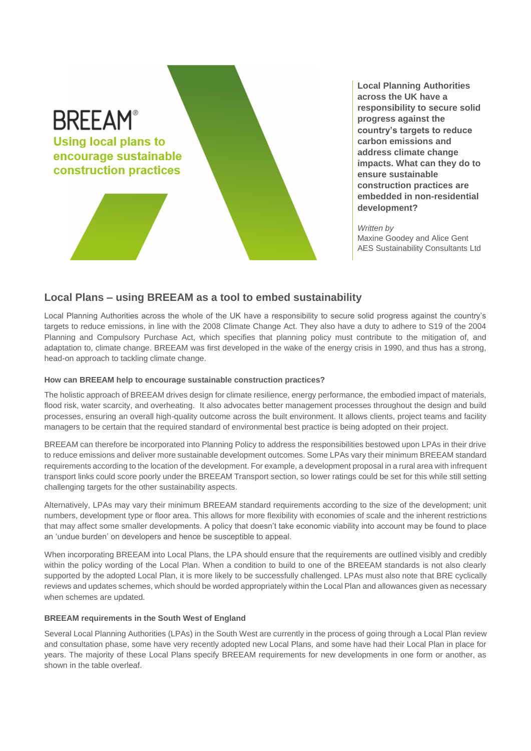

**Local Planning Authorities across the UK have a responsibility to secure solid progress against the country's targets to reduce carbon emissions and address climate change impacts. What can they do to ensure sustainable construction practices are embedded in non-residential development?**

*Written by*  Maxine Goodey and Alice Gent AES Sustainability Consultants Ltd

## **Local Plans – using BREEAM as a tool to embed sustainability**

Local Planning Authorities across the whole of the UK have a responsibility to secure solid progress against the country's targets to reduce emissions, in line with the 2008 Climate Change Act. They also have a duty to adhere to S19 of the 2004 Planning and Compulsory Purchase Act, which specifies that planning policy must contribute to the mitigation of, and adaptation to, climate change. BREEAM was first developed in the wake of the energy crisis in 1990, and thus has a strong, head-on approach to tackling climate change.

## **How can BREEAM help to encourage sustainable construction practices?**

The holistic approach of BREEAM drives design for climate resilience, energy performance, the embodied impact of materials, flood risk, water scarcity, and overheating. It also advocates better management processes throughout the design and build processes, ensuring an overall high-quality outcome across the built environment. It allows clients, project teams and facility managers to be certain that the required standard of environmental best practice is being adopted on their project.

BREEAM can therefore be incorporated into Planning Policy to address the responsibilities bestowed upon LPAs in their drive to reduce emissions and deliver more sustainable development outcomes. Some LPAs vary their minimum BREEAM standard requirements according to the location of the development. For example, a development proposal in a rural area with infrequent transport links could score poorly under the BREEAM Transport section, so lower ratings could be set for this while still setting challenging targets for the other sustainability aspects.

Alternatively, LPAs may vary their minimum BREEAM standard requirements according to the size of the development; unit numbers, development type or floor area. This allows for more flexibility with economies of scale and the inherent restrictions that may affect some smaller developments. A policy that doesn't take economic viability into account may be found to place an 'undue burden' on developers and hence be susceptible to appeal.

When incorporating BREEAM into Local Plans, the LPA should ensure that the requirements are outlined visibly and credibly within the policy wording of the Local Plan. When a condition to build to one of the BREEAM standards is not also clearly supported by the adopted Local Plan, it is more likely to be successfully challenged. LPAs must also note that BRE cyclically reviews and updates schemes, which should be worded appropriately within the Local Plan and allowances given as necessary when schemes are updated.

## **BREEAM requirements in the South West of England**

Several Local Planning Authorities (LPAs) in the South West are currently in the process of going through a Local Plan review and consultation phase, some have very recently adopted new Local Plans, and some have had their Local Plan in place for years. The majority of these Local Plans specify BREEAM requirements for new developments in one form or another, as shown in the table overleaf.